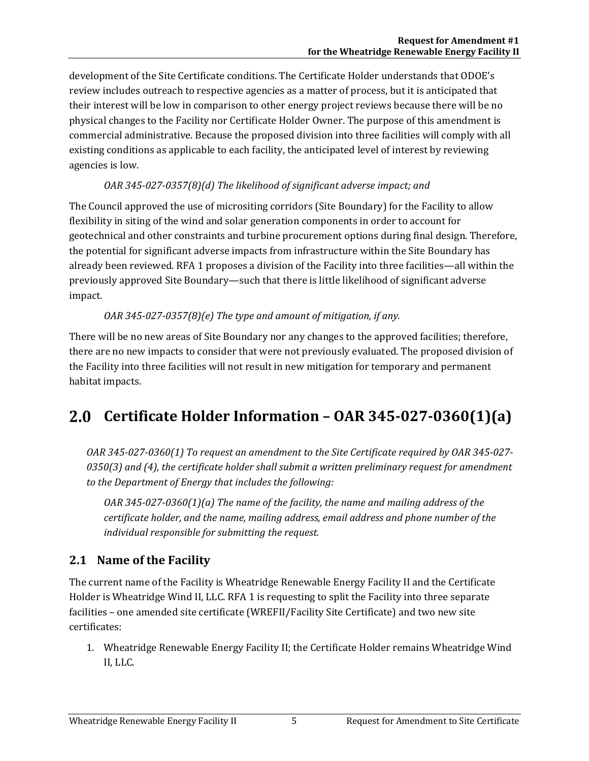development of the Site Certificate conditions. The Certificate Holder understands that ODOE's review includes outreach to respective agencies as a matter of process, but it is anticipated that their interest will be low in comparison to other energy project reviews because there will be no physical changes to the Facility nor Certificate Holder Owner. The purpose of this amendment is commercial administrative. Because the proposed division into three facilities will comply with all existing conditions as applicable to each facility, the anticipated level of interest by reviewing agencies is low.

#### *OAR 345-027-0357(8)(d) The likelihood of significant adverse impact; and*

The Council approved the use of micrositing corridors (Site Boundary) for the Facility to allow flexibility in siting of the wind and solar generation components in order to account for geotechnical and other constraints and turbine procurement options during final design. Therefore, the potential for significant adverse impacts from infrastructure within the Site Boundary has already been reviewed. RFA 1 proposes a division of the Facility into three facilities—all within the previously approved Site Boundary—such that there is little likelihood of significant adverse impact.

### *OAR 345-027-0357(8)(e) The type and amount of mitigation, if any.*

There will be no new areas of Site Boundary nor any changes to the approved facilities; therefore, there are no new impacts to consider that were not previously evaluated. The proposed division of the Facility into three facilities will not result in new mitigation for temporary and permanent habitat impacts.

# **Certificate Holder Information – OAR 345-027-0360(1)(a)**

*OAR 345-027-0360(1) To request an amendment to the Site Certificate required by OAR 345-027- 0350(3) and (4), the certificate holder shall submit a written preliminary request for amendment to the Department of Energy that includes the following:*

*OAR 345-027-0360(1)(a) The name of the facility, the name and mailing address of the certificate holder, and the name, mailing address, email address and phone number of the individual responsible for submitting the request.*

## **2.1 Name of the Facility**

The current name of the Facility is Wheatridge Renewable Energy Facility II and the Certificate Holder is Wheatridge Wind II, LLC. RFA 1 is requesting to split the Facility into three separate facilities – one amended site certificate (WREFII/Facility Site Certificate) and two new site certificates:

1. Wheatridge Renewable Energy Facility II; the Certificate Holder remains Wheatridge Wind II, LLC.